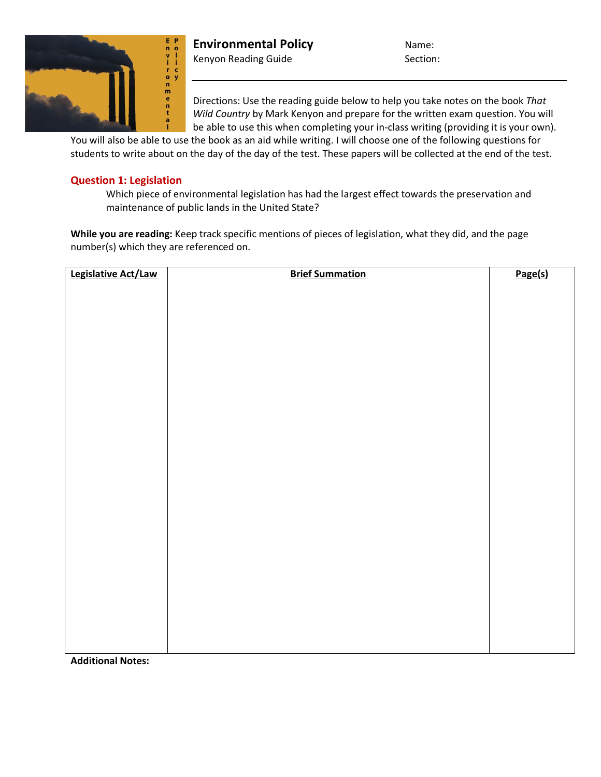

**Environmental Policy** Name: Kenyon Reading Guide Section:

Directions: Use the reading guide below to help you take notes on the book *That Wild Country* by Mark Kenyon and prepare for the written exam question. You will be able to use this when completing your in-class writing (providing it is your own).

You will also be able to use the book as an aid while writing. I will choose one of the following questions for students to write about on the day of the day of the test. These papers will be collected at the end of the test.

## **Question 1: Legislation**

Which piece of environmental legislation has had the largest effect towards the preservation and maintenance of public lands in the United State?

**While you are reading:** Keep track specific mentions of pieces of legislation, what they did, and the page number(s) which they are referenced on.

| Legislative Act/Law | <b>Brief Summation</b> | Page(s) |
|---------------------|------------------------|---------|
|                     |                        |         |
|                     |                        |         |
|                     |                        |         |
|                     |                        |         |
|                     |                        |         |
|                     |                        |         |
|                     |                        |         |
|                     |                        |         |
|                     |                        |         |
|                     |                        |         |
|                     |                        |         |
|                     |                        |         |
|                     |                        |         |
|                     |                        |         |
|                     |                        |         |
|                     |                        |         |
|                     |                        |         |
|                     |                        |         |
|                     |                        |         |
|                     |                        |         |
|                     |                        |         |
|                     |                        |         |
|                     |                        |         |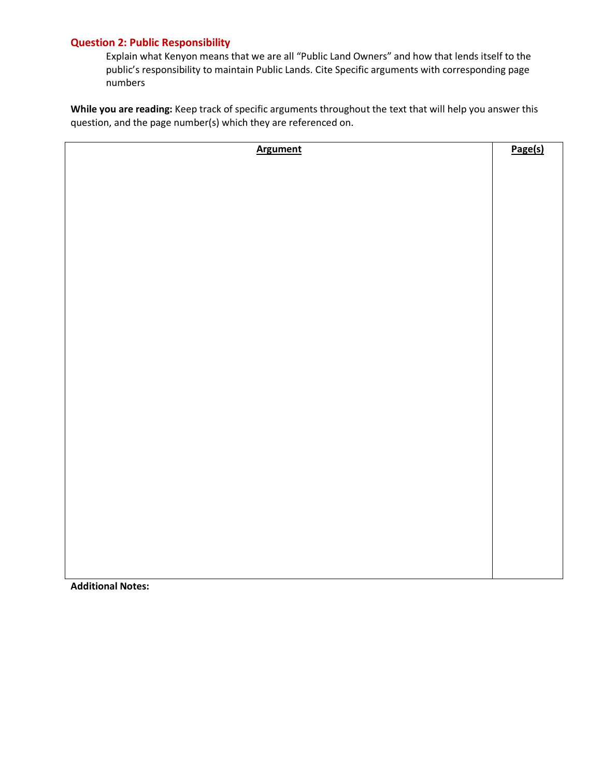## **Question 2: Public Responsibility**

Explain what Kenyon means that we are all "Public Land Owners" and how that lends itself to the public's responsibility to maintain Public Lands. Cite Specific arguments with corresponding page numbers

**While you are reading:** Keep track of specific arguments throughout the text that will help you answer this question, and the page number(s) which they are referenced on.

| <b>Argument</b> | Page(s) |
|-----------------|---------|
|                 |         |
|                 |         |
|                 |         |
|                 |         |
|                 |         |
|                 |         |
|                 |         |
|                 |         |
|                 |         |
|                 |         |
|                 |         |
|                 |         |
|                 |         |
|                 |         |
|                 |         |
|                 |         |
|                 |         |
|                 |         |
|                 |         |
|                 |         |
|                 |         |
|                 |         |
|                 |         |
|                 |         |
|                 |         |
|                 |         |
|                 |         |
|                 |         |
|                 |         |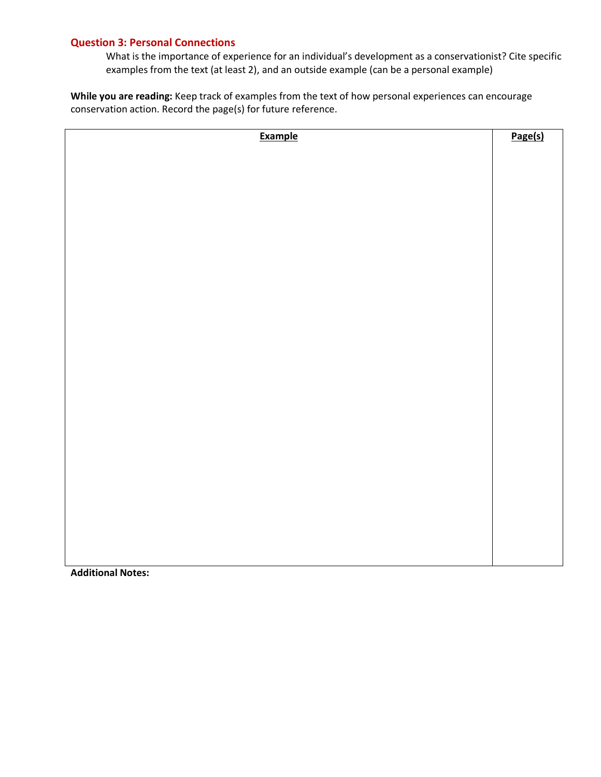## **Question 3: Personal Connections**

What is the importance of experience for an individual's development as a conservationist? Cite specific examples from the text (at least 2), and an outside example (can be a personal example)

**While you are reading:** Keep track of examples from the text of how personal experiences can encourage conservation action. Record the page(s) for future reference.

| <b>Example</b> | Page(s) |
|----------------|---------|
|                |         |
|                |         |
|                |         |
|                |         |
|                |         |
|                |         |
|                |         |
|                |         |
|                |         |
|                |         |
|                |         |
|                |         |
|                |         |
|                |         |
|                |         |
|                |         |
|                |         |
|                |         |
|                |         |
|                |         |
|                |         |
|                |         |
|                |         |
|                |         |